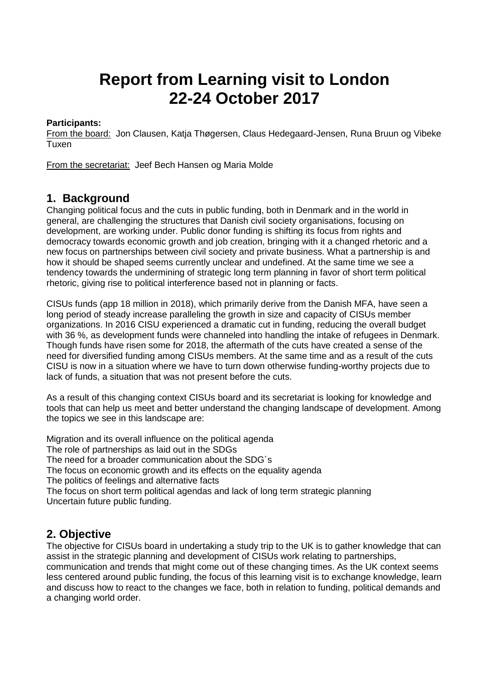# **Report from Learning visit to London 22-24 October 2017**

## **Participants:**

From the board: Jon Clausen, Katja Thøgersen, Claus Hedegaard-Jensen, Runa Bruun og Vibeke Tuxen

From the secretariat: Jeef Bech Hansen og Maria Molde

## **1. Background**

Changing political focus and the cuts in public funding, both in Denmark and in the world in general, are challenging the structures that Danish civil society organisations, focusing on development, are working under. Public donor funding is shifting its focus from rights and democracy towards economic growth and job creation, bringing with it a changed rhetoric and a new focus on partnerships between civil society and private business. What a partnership is and how it should be shaped seems currently unclear and undefined. At the same time we see a tendency towards the undermining of strategic long term planning in favor of short term political rhetoric, giving rise to political interference based not in planning or facts.

CISUs funds (app 18 million in 2018), which primarily derive from the Danish MFA, have seen a long period of steady increase paralleling the growth in size and capacity of CISUs member organizations. In 2016 CISU experienced a dramatic cut in funding, reducing the overall budget with 36 %, as development funds were channeled into handling the intake of refugees in Denmark. Though funds have risen some for 2018, the aftermath of the cuts have created a sense of the need for diversified funding among CISUs members. At the same time and as a result of the cuts CISU is now in a situation where we have to turn down otherwise funding-worthy projects due to lack of funds, a situation that was not present before the cuts.

As a result of this changing context CISUs board and its secretariat is looking for knowledge and tools that can help us meet and better understand the changing landscape of development. Among the topics we see in this landscape are:

Migration and its overall influence on the political agenda The role of partnerships as laid out in the SDGs The need for a broader communication about the SDG´s The focus on economic growth and its effects on the equality agenda The politics of feelings and alternative facts The focus on short term political agendas and lack of long term strategic planning Uncertain future public funding.

## **2. Objective**

The objective for CISUs board in undertaking a study trip to the UK is to gather knowledge that can assist in the strategic planning and development of CISUs work relating to partnerships, communication and trends that might come out of these changing times. As the UK context seems less centered around public funding, the focus of this learning visit is to exchange knowledge, learn and discuss how to react to the changes we face, both in relation to funding, political demands and a changing world order.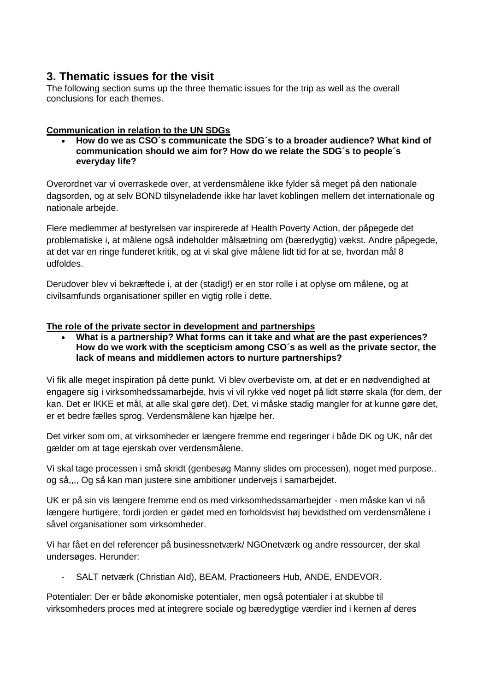## **3. Thematic issues for the visit**

The following section sums up the three thematic issues for the trip as well as the overall conclusions for each themes.

## **Communication in relation to the UN SDGs**

 **How do we as CSO´s communicate the SDG´s to a broader audience? What kind of communication should we aim for? How do we relate the SDG´s to people´s everyday life?**

Overordnet var vi overraskede over, at verdensmålene ikke fylder så meget på den nationale dagsorden, og at selv BOND tilsyneladende ikke har lavet koblingen mellem det internationale og nationale arbejde.

Flere medlemmer af bestyrelsen var inspirerede af Health Poverty Action, der påpegede det problematiske i, at målene også indeholder målsætning om (bæredygtig) vækst. Andre påpegede, at det var en ringe funderet kritik, og at vi skal give målene lidt tid for at se, hvordan mål 8 udfoldes.

Derudover blev vi bekræftede i, at der (stadig!) er en stor rolle i at oplyse om målene, og at civilsamfunds organisationer spiller en vigtig rolle i dette.

#### **The role of the private sector in development and partnerships**

 **What is a partnership? What forms can it take and what are the past experiences? How do we work with the scepticism among CSO´s as well as the private sector, the lack of means and middlemen actors to nurture partnerships?**

Vi fik alle meget inspiration på dette punkt. Vi blev overbeviste om, at det er en nødvendighed at engagere sig i virksomhedssamarbejde, hvis vi vil rykke ved noget på lidt større skala (for dem, der kan. Det er IKKE et mål, at alle skal gøre det). Det, vi måske stadig mangler for at kunne gøre det, er et bedre fælles sprog. Verdensmålene kan hjælpe her.

Det virker som om, at virksomheder er længere fremme end regeringer i både DK og UK, når det gælder om at tage ejerskab over verdensmålene.

Vi skal tage processen i små skridt (genbesøg Manny slides om processen), noget med purpose.. og så,,,, Og så kan man justere sine ambitioner undervejs i samarbejdet.

UK er på sin vis længere fremme end os med virksomhedssamarbejder - men måske kan vi nå længere hurtigere, fordi jorden er gødet med en forholdsvist høj bevidsthed om verdensmålene i såvel organisationer som virksomheder.

Vi har fået en del referencer på businessnetværk/ NGOnetværk og andre ressourcer, der skal undersøges. Herunder:

- SALT netværk (Christian AId), BEAM, Practioneers Hub, ANDE, ENDEVOR.

Potentialer: Der er både økonomiske potentialer, men også potentialer i at skubbe til virksomheders proces med at integrere sociale og bæredygtige værdier ind i kernen af deres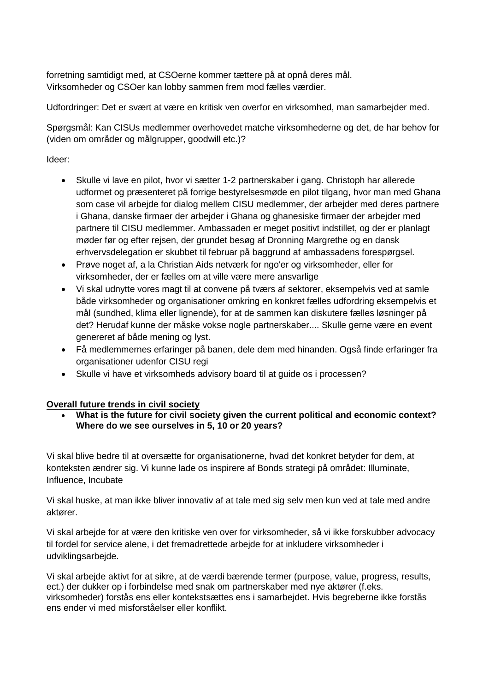forretning samtidigt med, at CSOerne kommer tættere på at opnå deres mål. Virksomheder og CSOer kan lobby sammen frem mod fælles værdier.

Udfordringer: Det er svært at være en kritisk ven overfor en virksomhed, man samarbejder med.

Spørgsmål: Kan CISUs medlemmer overhovedet matche virksomhederne og det, de har behov for (viden om områder og målgrupper, goodwill etc.)?

Ideer:

- Skulle vi lave en pilot, hvor vi sætter 1-2 partnerskaber i gang. Christoph har allerede udformet og præsenteret på forrige bestyrelsesmøde en pilot tilgang, hvor man med Ghana som case vil arbejde for dialog mellem CISU medlemmer, der arbejder med deres partnere i Ghana, danske firmaer der arbejder i Ghana og ghanesiske firmaer der arbejder med partnere til CISU medlemmer. Ambassaden er meget positivt indstillet, og der er planlagt møder før og efter rejsen, der grundet besøg af Dronning Margrethe og en dansk erhvervsdelegation er skubbet til februar på baggrund af ambassadens forespørgsel.
- Prøve noget af, a la Christian Aids netværk for ngo'er og virksomheder, eller for virksomheder, der er fælles om at ville være mere ansvarlige
- Vi skal udnytte vores magt til at convene på tværs af sektorer, eksempelvis ved at samle både virksomheder og organisationer omkring en konkret fælles udfordring eksempelvis et mål (sundhed, klima eller lignende), for at de sammen kan diskutere fælles løsninger på det? Herudaf kunne der måske vokse nogle partnerskaber.... Skulle gerne være en event genereret af både mening og lyst.
- Få medlemmernes erfaringer på banen, dele dem med hinanden. Også finde erfaringer fra organisationer udenfor CISU regi
- Skulle vi have et virksomheds advisory board til at guide os i processen?

## **Overall future trends in civil society**

 **What is the future for civil society given the current political and economic context? Where do we see ourselves in 5, 10 or 20 years?**

Vi skal blive bedre til at oversætte for organisationerne, hvad det konkret betyder for dem, at konteksten ændrer sig. Vi kunne lade os inspirere af Bonds strategi på området: Illuminate, Influence, Incubate

Vi skal huske, at man ikke bliver innovativ af at tale med sig selv men kun ved at tale med andre aktører.

Vi skal arbejde for at være den kritiske ven over for virksomheder, så vi ikke forskubber advocacy til fordel for service alene, i det fremadrettede arbejde for at inkludere virksomheder i udviklingsarbejde.

Vi skal arbejde aktivt for at sikre, at de værdi bærende termer (purpose, value, progress, results, ect.) der dukker op i forbindelse med snak om partnerskaber med nye aktører (f.eks. virksomheder) forstås ens eller kontekstsættes ens i samarbejdet. Hvis begreberne ikke forstås ens ender vi med misforståelser eller konflikt.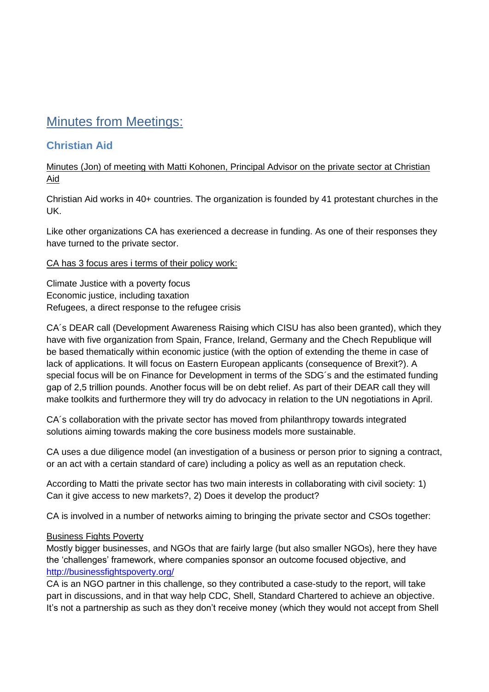## Minutes from Meetings:

## **Christian Aid**

## Minutes (Jon) of meeting with Matti Kohonen, Principal Advisor on the private sector at Christian Aid

Christian Aid works in 40+ countries. The organization is founded by 41 protestant churches in the UK.

Like other organizations CA has exerienced a decrease in funding. As one of their responses they have turned to the private sector.

#### CA has 3 focus ares i terms of their policy work:

Climate Justice with a poverty focus Economic justice, including taxation Refugees, a direct response to the refugee crisis

CA´s DEAR call (Development Awareness Raising which CISU has also been granted), which they have with five organization from Spain, France, Ireland, Germany and the Chech Republique will be based thematically within economic justice (with the option of extending the theme in case of lack of applications. It will focus on Eastern European applicants (consequence of Brexit?). A special focus will be on Finance for Development in terms of the SDG's and the estimated funding gap of 2,5 trillion pounds. Another focus will be on debt relief. As part of their DEAR call they will make toolkits and furthermore they will try do advocacy in relation to the UN negotiations in April.

CA´s collaboration with the private sector has moved from philanthropy towards integrated solutions aiming towards making the core business models more sustainable.

CA uses a due diligence model (an investigation of a business or person prior to signing a contract, or an act with a certain standard of care) including a policy as well as an reputation check.

According to Matti the private sector has two main interests in collaborating with civil society: 1) Can it give access to new markets?, 2) Does it develop the product?

CA is involved in a number of networks aiming to bringing the private sector and CSOs together:

## Business Fights Poverty

Mostly bigger businesses, and NGOs that are fairly large (but also smaller NGOs), here they have the 'challenges' framework, where companies sponsor an outcome focused objective, and <http://businessfightspoverty.org/>

CA is an NGO partner in this challenge, so they contributed a case-study to the report, will take part in discussions, and in that way help CDC, Shell, Standard Chartered to achieve an objective. It's not a partnership as such as they don't receive money (which they would not accept from Shell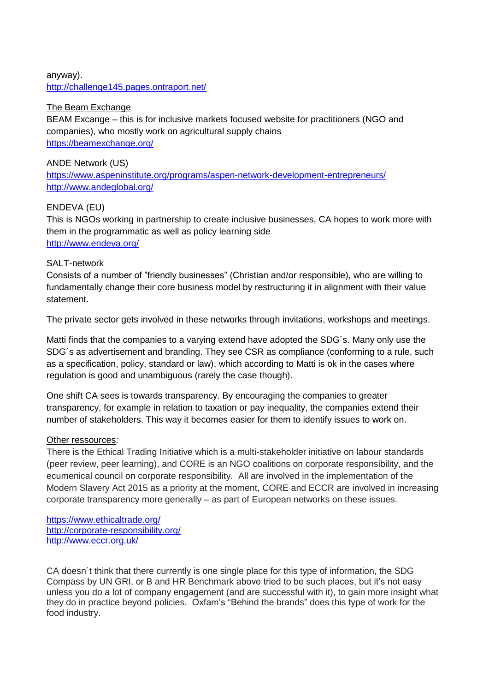## anyway). <http://challenge145.pages.ontraport.net/>

## The Beam Exchange

BEAM Excange – this is for inclusive markets focused website for practitioners (NGO and companies), who mostly work on agricultural supply chains <https://beamexchange.org/>

## ANDE Network (US)

<https://www.aspeninstitute.org/programs/aspen-network-development-entrepreneurs/> <http://www.andeglobal.org/>

## ENDEVA (EU)

This is NGOs working in partnership to create inclusive businesses, CA hopes to work more with them in the programmatic as well as policy learning side <http://www.endeva.org/>

#### SALT-network

Consists of a number of "friendly businesses" (Christian and/or responsible), who are willing to fundamentally change their core business model by restructuring it in alignment with their value statement.

The private sector gets involved in these networks through invitations, workshops and meetings.

Matti finds that the companies to a varying extend have adopted the SDG´s. Many only use the SDG´s as advertisement and branding. They see CSR as compliance (conforming to a rule, such as a specification, policy, standard or law), which according to Matti is ok in the cases where regulation is good and unambiguous (rarely the case though).

One shift CA sees is towards transparency. By encouraging the companies to greater transparency, for example in relation to taxation or pay inequality, the companies extend their number of stakeholders. This way it becomes easier for them to identify issues to work on.

#### Other ressources:

There is the Ethical Trading Initiative which is a multi-stakeholder initiative on labour standards (peer review, peer learning), and CORE is an NGO coalitions on corporate responsibility, and the ecumenical council on corporate responsibility. All are involved in the implementation of the Modern Slavery Act 2015 as a priority at the moment, CORE and ECCR are involved in increasing corporate transparency more generally – as part of European networks on these issues.

<https://www.ethicaltrade.org/> <http://corporate-responsibility.org/> <http://www.eccr.org.uk/>

CA doesn´t think that there currently is one single place for this type of information, the SDG Compass by UN GRI, or B and HR Benchmark above tried to be such places, but it's not easy unless you do a lot of company engagement (and are successful with it), to gain more insight what they do in practice beyond policies. Oxfam's "Behind the brands" does this type of work for the food industry.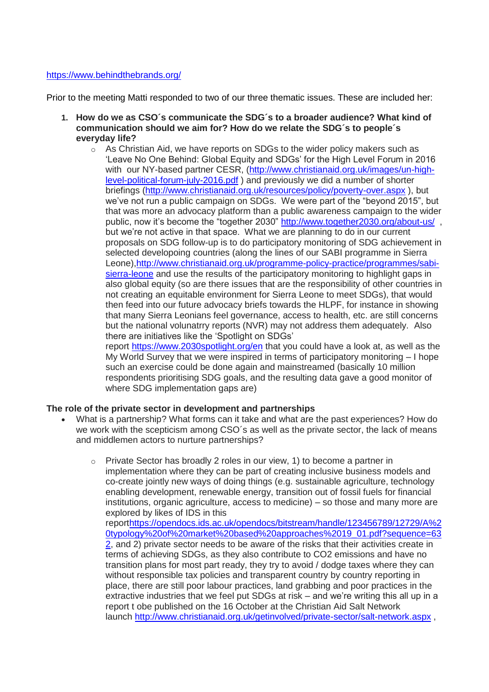#### <https://www.behindthebrands.org/>

Prior to the meeting Matti responded to two of our three thematic issues. These are included her:

- **1. How do we as CSO´s communicate the SDG´s to a broader audience? What kind of communication should we aim for? How do we relate the SDG´s to people´s everyday life?**
	- o As Christian Aid, we have reports on SDGs to the wider policy makers such as 'Leave No One Behind: Global Equity and SDGs' for the High Level Forum in 2016 with our NY-based partner CESR, [\(http://www.christianaid.org.uk/images/un-high](http://www.christianaid.org.uk/images/un-high-level-political-forum-july-2016.pdf)[level-political-forum-july-2016.pdf](http://www.christianaid.org.uk/images/un-high-level-political-forum-july-2016.pdf) ) and previously we did a number of shorter briefings [\(http://www.christianaid.org.uk/resources/policy/poverty-over.aspx](http://www.christianaid.org.uk/resources/policy/poverty-over.aspx) ), but we've not run a public campaign on SDGs. We were part of the "beyond 2015", but that was more an advocacy platform than a public awareness campaign to the wider public, now it's become the "together 2030" <http://www.together2030.org/about-us/>, but we're not active in that space. What we are planning to do in our current proposals on SDG follow-up is to do participatory monitoring of SDG achievement in selected developoing countries (along the lines of our SABI programme in Sierra Leone)[,http://www.christianaid.org.uk/programme-policy-practice/programmes/sabi](http://www.christianaid.org.uk/programme-policy-practice/programmes/sabi-sierra-leone)[sierra-leone](http://www.christianaid.org.uk/programme-policy-practice/programmes/sabi-sierra-leone) and use the results of the participatory monitoring to highlight gaps in also global equity (so are there issues that are the responsibility of other countries in not creating an equitable environment for Sierra Leone to meet SDGs), that would then feed into our future advocacy briefs towards the HLPF, for instance in showing that many Sierra Leonians feel governance, access to health, etc. are still concerns but the national volunatrry reports (NVR) may not address them adequately. Also there are initiatives like the 'Spotlight on SDGs' report <https://www.2030spotlight.org/en> that you could have a look at, as well as the My World Survey that we were inspired in terms of participatory monitoring – I hope such an exercise could be done again and mainstreamed (basically 10 million respondents prioritising SDG goals, and the resulting data gave a good monitor of

where SDG implementation gaps are)

#### **The role of the private sector in development and partnerships**

- What is a partnership? What forms can it take and what are the past experiences? How do we work with the scepticism among CSO´s as well as the private sector, the lack of means and middlemen actors to nurture partnerships?
	- $\circ$  Private Sector has broadly 2 roles in our view, 1) to become a partner in implementation where they can be part of creating inclusive business models and co-create jointly new ways of doing things (e.g. sustainable agriculture, technology enabling development, renewable energy, transition out of fossil fuels for financial institutions, organic agriculture, access to medicine) – so those and many more are explored by likes of IDS in this repor[thttps://opendocs.ids.ac.uk/opendocs/bitstream/handle/123456789/12729/A%2](https://opendocs.ids.ac.uk/opendocs/bitstream/handle/123456789/12729/A%20typology%20of%20market%20based%20approaches%2019_01.pdf?sequence=632) [0typology%20of%20market%20based%20approaches%2019\\_01.pdf?sequence=63](https://opendocs.ids.ac.uk/opendocs/bitstream/handle/123456789/12729/A%20typology%20of%20market%20based%20approaches%2019_01.pdf?sequence=632) [2,](https://opendocs.ids.ac.uk/opendocs/bitstream/handle/123456789/12729/A%20typology%20of%20market%20based%20approaches%2019_01.pdf?sequence=632) and 2) private sector needs to be aware of the risks that their activities create in terms of achieving SDGs, as they also contribute to CO2 emissions and have no transition plans for most part ready, they try to avoid / dodge taxes where they can without responsible tax policies and transparent country by country reporting in place, there are still poor labour practices, land grabbing and poor practices in the extractive industries that we feel put SDGs at risk – and we're writing this all up in a report t obe published on the 16 October at the Christian Aid Salt Network launch <http://www.christianaid.org.uk/getinvolved/private-sector/salt-network.aspx>,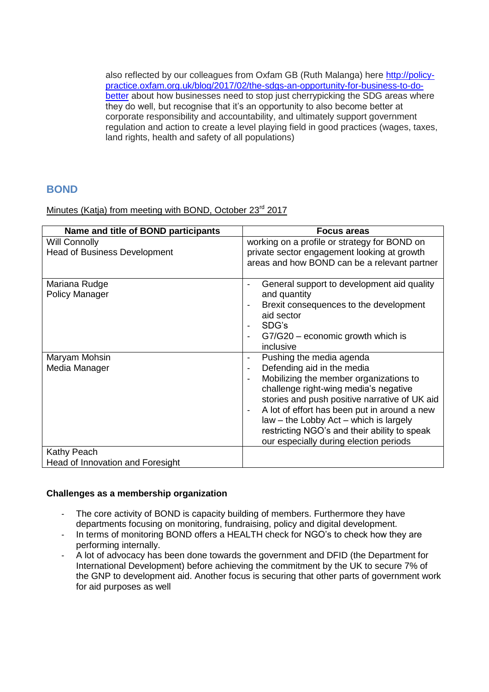also reflected by our colleagues from Oxfam GB (Ruth Malanga) here [http://policy](http://policy-practice.oxfam.org.uk/blog/2017/02/the-sdgs-an-opportunity-for-business-to-do-better)[practice.oxfam.org.uk/blog/2017/02/the-sdgs-an-opportunity-for-business-to-do](http://policy-practice.oxfam.org.uk/blog/2017/02/the-sdgs-an-opportunity-for-business-to-do-better)[better](http://policy-practice.oxfam.org.uk/blog/2017/02/the-sdgs-an-opportunity-for-business-to-do-better) about how businesses need to stop just cherrypicking the SDG areas where they do well, but recognise that it's an opportunity to also become better at corporate responsibility and accountability, and ultimately support government regulation and action to create a level playing field in good practices (wages, taxes, land rights, health and safety of all populations)

## **BOND**

Minutes (Katja) from meeting with BOND, October 23<sup>rd</sup> 2017

| Name and title of BOND participants    | <b>Focus areas</b>                                                                     |
|----------------------------------------|----------------------------------------------------------------------------------------|
| <b>Will Connolly</b>                   | working on a profile or strategy for BOND on                                           |
| <b>Head of Business Development</b>    | private sector engagement looking at growth                                            |
|                                        | areas and how BOND can be a relevant partner                                           |
| Mariana Rudge<br><b>Policy Manager</b> | General support to development aid quality<br>$\overline{\phantom{a}}$<br>and quantity |
|                                        | Brexit consequences to the development<br>aid sector                                   |
|                                        | SDG's<br>$\blacksquare$                                                                |
|                                        | $G7/G20$ – economic growth which is<br>$\blacksquare$                                  |
|                                        | inclusive                                                                              |
| Maryam Mohsin                          | Pushing the media agenda<br>$\blacksquare$                                             |
| Media Manager                          | Defending aid in the media<br>$\blacksquare$                                           |
|                                        | Mobilizing the member organizations to                                                 |
|                                        | challenge right-wing media's negative                                                  |
|                                        | stories and push positive narrative of UK aid                                          |
|                                        | A lot of effort has been put in around a new<br>$\overline{\phantom{a}}$               |
|                                        | law - the Lobby Act - which is largely                                                 |
|                                        | restricting NGO's and their ability to speak                                           |
|                                        | our especially during election periods                                                 |
| Kathy Peach                            |                                                                                        |
| Head of Innovation and Foresight       |                                                                                        |

#### **Challenges as a membership organization**

- The core activity of BOND is capacity building of members. Furthermore they have departments focusing on monitoring, fundraising, policy and digital development.
- In terms of monitoring BOND offers a HEALTH check for NGO's to check how they are performing internally.
- A lot of advocacy has been done towards the government and DFID (the Department for International Development) before achieving the commitment by the UK to secure 7% of the GNP to development aid. Another focus is securing that other parts of government work for aid purposes as well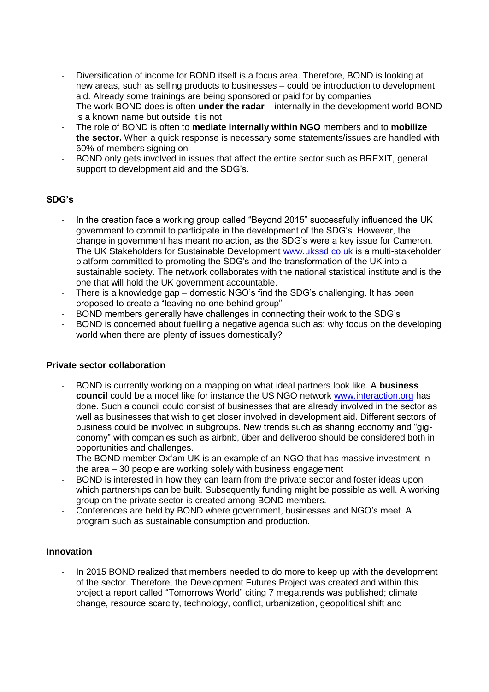- Diversification of income for BOND itself is a focus area. Therefore, BOND is looking at new areas, such as selling products to businesses – could be introduction to development aid. Already some trainings are being sponsored or paid for by companies
- The work BOND does is often **under the radar**  internally in the development world BOND is a known name but outside it is not
- The role of BOND is often to **mediate internally within NGO** members and to **mobilize the sector.** When a quick response is necessary some statements/issues are handled with 60% of members signing on
- BOND only gets involved in issues that affect the entire sector such as BREXIT, general support to development aid and the SDG's.

#### **SDG's**

- In the creation face a working group called "Beyond 2015" successfully influenced the UK government to commit to participate in the development of the SDG's. However, the change in government has meant no action, as the SDG's were a key issue for Cameron. The UK Stakeholders for Sustainable Development [www.ukssd.co.uk](http://www.ukssd.co.uk/) is a multi-stakeholder platform committed to promoting the SDG's and the transformation of the UK into a sustainable society. The network collaborates with the national statistical institute and is the one that will hold the UK government accountable.
- There is a knowledge gap domestic NGO's find the SDG's challenging. It has been proposed to create a "leaving no-one behind group"
- BOND members generally have challenges in connecting their work to the SDG's
- BOND is concerned about fuelling a negative agenda such as: why focus on the developing world when there are plenty of issues domestically?

#### **Private sector collaboration**

- BOND is currently working on a mapping on what ideal partners look like. A **business council** could be a model like for instance the US NGO network [www.interaction.org](http://www.interaction.org/) has done. Such a council could consist of businesses that are already involved in the sector as well as businesses that wish to get closer involved in development aid. Different sectors of business could be involved in subgroups. New trends such as sharing economy and "gigconomy" with companies such as airbnb, über and deliveroo should be considered both in opportunities and challenges.
- The BOND member Oxfam UK is an example of an NGO that has massive investment in the area – 30 people are working solely with business engagement
- BOND is interested in how they can learn from the private sector and foster ideas upon which partnerships can be built. Subsequently funding might be possible as well. A working group on the private sector is created among BOND members.
- Conferences are held by BOND where government, businesses and NGO's meet. A program such as sustainable consumption and production.

#### **Innovation**

- In 2015 BOND realized that members needed to do more to keep up with the development of the sector. Therefore, the Development Futures Project was created and within this project a report called "Tomorrows World" citing 7 megatrends was published; climate change, resource scarcity, technology, conflict, urbanization, geopolitical shift and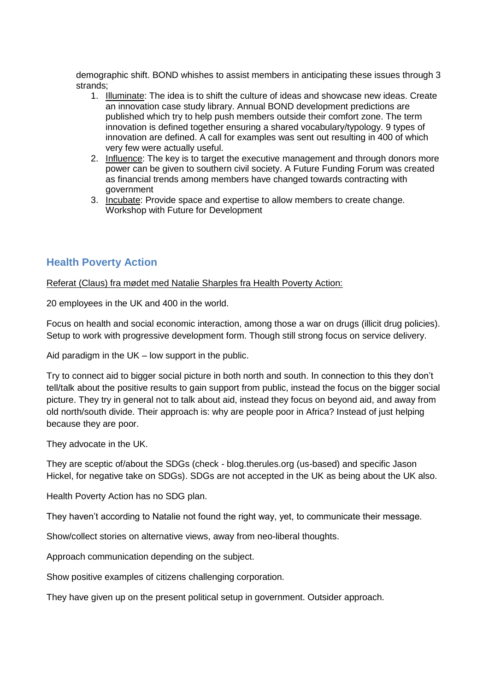demographic shift. BOND whishes to assist members in anticipating these issues through 3 strands;

- 1. Illuminate: The idea is to shift the culture of ideas and showcase new ideas. Create an innovation case study library. Annual BOND development predictions are published which try to help push members outside their comfort zone. The term innovation is defined together ensuring a shared vocabulary/typology. 9 types of innovation are defined. A call for examples was sent out resulting in 400 of which very few were actually useful.
- 2. Influence: The key is to target the executive management and through donors more power can be given to southern civil society. A Future Funding Forum was created as financial trends among members have changed towards contracting with government
- 3. Incubate: Provide space and expertise to allow members to create change. Workshop with Future for Development

## **Health Poverty Action**

Referat (Claus) fra mødet med Natalie Sharples fra Health Poverty Action:

20 employees in the UK and 400 in the world.

Focus on health and social economic interaction, among those a war on drugs (illicit drug policies). Setup to work with progressive development form. Though still strong focus on service delivery.

Aid paradigm in the UK – low support in the public.

Try to connect aid to bigger social picture in both north and south. In connection to this they don't tell/talk about the positive results to gain support from public, instead the focus on the bigger social picture. They try in general not to talk about aid, instead they focus on beyond aid, and away from old north/south divide. Their approach is: why are people poor in Africa? Instead of just helping because they are poor.

They advocate in the UK.

They are sceptic of/about the SDGs (check - blog.therules.org (us-based) and specific Jason Hickel, for negative take on SDGs). SDGs are not accepted in the UK as being about the UK also.

Health Poverty Action has no SDG plan.

They haven't according to Natalie not found the right way, yet, to communicate their message.

Show/collect stories on alternative views, away from neo-liberal thoughts.

Approach communication depending on the subject.

Show positive examples of citizens challenging corporation.

They have given up on the present political setup in government. Outsider approach.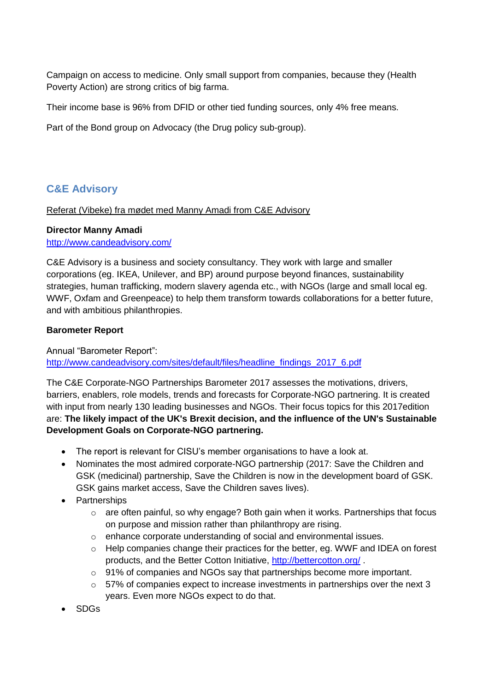Campaign on access to medicine. Only small support from companies, because they (Health Poverty Action) are strong critics of big farma.

Their income base is 96% from DFID or other tied funding sources, only 4% free means.

Part of the Bond group on Advocacy (the Drug policy sub-group).

## **C&E Advisory**

#### Referat (Vibeke) fra mødet med Manny Amadi from C&E Advisory

## **Director Manny Amadi**

<http://www.candeadvisory.com/>

C&E Advisory is a business and society consultancy. They work with large and smaller corporations (eg. IKEA, Unilever, and BP) around purpose beyond finances, sustainability strategies, human trafficking, modern slavery agenda etc., with NGOs (large and small local eg. WWF, Oxfam and Greenpeace) to help them transform towards collaborations for a better future, and with ambitious philanthropies.

## **Barometer Report**

Annual "Barometer Report": [http://www.candeadvisory.com/sites/default/files/headline\\_findings\\_2017\\_6.pdf](http://www.candeadvisory.com/sites/default/files/headline_findings_2017_6.pdf)

The C&E Corporate-NGO Partnerships Barometer 2017 assesses the motivations, drivers, barriers, enablers, role models, trends and forecasts for Corporate-NGO partnering. It is created with input from nearly 130 leading businesses and NGOs. Their focus topics for this 2017edition are: **The likely impact of the UK's Brexit decision, and the influence of the UN's Sustainable Development Goals on Corporate-NGO partnering.**

- The report is relevant for CISU's member organisations to have a look at.
- Nominates the most admired corporate-NGO partnership (2017: Save the Children and GSK (medicinal) partnership, Save the Children is now in the development board of GSK. GSK gains market access, Save the Children saves lives).
- Partnerships
	- $\circ$  are often painful, so why engage? Both gain when it works. Partnerships that focus on purpose and mission rather than philanthropy are rising.
	- o enhance corporate understanding of social and environmental issues.
	- $\circ$  Help companies change their practices for the better, eg. WWF and IDEA on forest products, and the Better Cotton Initiative,<http://bettercotton.org/> .
	- $\circ$  91% of companies and NGOs say that partnerships become more important.
	- $\circ$  57% of companies expect to increase investments in partnerships over the next 3 years. Even more NGOs expect to do that.
- SDGs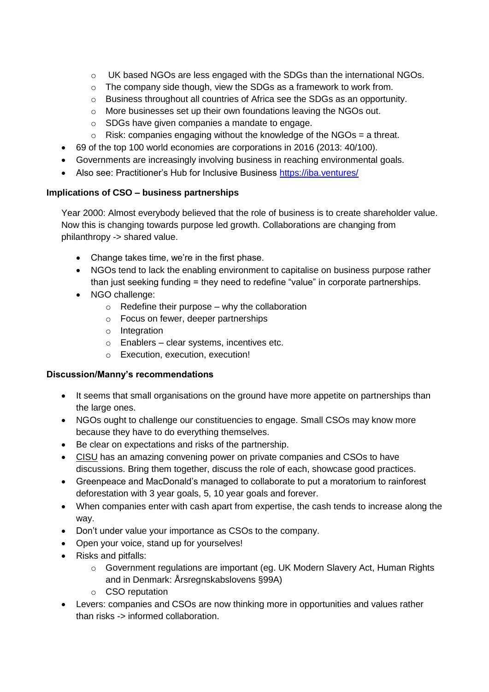- $\circ$  UK based NGOs are less engaged with the SDGs than the international NGOs.
- o The company side though, view the SDGs as a framework to work from.
- o Business throughout all countries of Africa see the SDGs as an opportunity.
- o More businesses set up their own foundations leaving the NGOs out.
- o SDGs have given companies a mandate to engage.
- $\circ$  Risk: companies engaging without the knowledge of the NGOs = a threat.
- 69 of the top 100 world economies are corporations in 2016 (2013: 40/100).
- Governments are increasingly involving business in reaching environmental goals.
- Also see: Practitioner's Hub for Inclusive Business<https://iba.ventures/>

## **Implications of CSO – business partnerships**

Year 2000: Almost everybody believed that the role of business is to create shareholder value. Now this is changing towards purpose led growth. Collaborations are changing from philanthropy -> shared value.

- Change takes time, we're in the first phase.
- NGOs tend to lack the enabling environment to capitalise on business purpose rather than just seeking funding = they need to redefine "value" in corporate partnerships.
- NGO challenge:
	- $\circ$  Redefine their purpose why the collaboration
	- o Focus on fewer, deeper partnerships
	- o Integration
	- o Enablers clear systems, incentives etc.
	- o Execution, execution, execution!

## **Discussion/Manny's recommendations**

- It seems that small organisations on the ground have more appetite on partnerships than the large ones.
- NGOs ought to challenge our constituencies to engage. Small CSOs may know more because they have to do everything themselves.
- Be clear on expectations and risks of the partnership.
- CISU has an amazing convening power on private companies and CSOs to have discussions. Bring them together, discuss the role of each, showcase good practices.
- Greenpeace and MacDonald's managed to collaborate to put a moratorium to rainforest deforestation with 3 year goals, 5, 10 year goals and forever.
- When companies enter with cash apart from expertise, the cash tends to increase along the way.
- Don't under value your importance as CSOs to the company.
- Open your voice, stand up for yourselves!
- Risks and pitfalls:
	- o Government regulations are important (eg. UK Modern Slavery Act, Human Rights and in Denmark: Årsregnskabslovens §99A)
	- o CSO reputation
- Levers: companies and CSOs are now thinking more in opportunities and values rather than risks -> informed collaboration.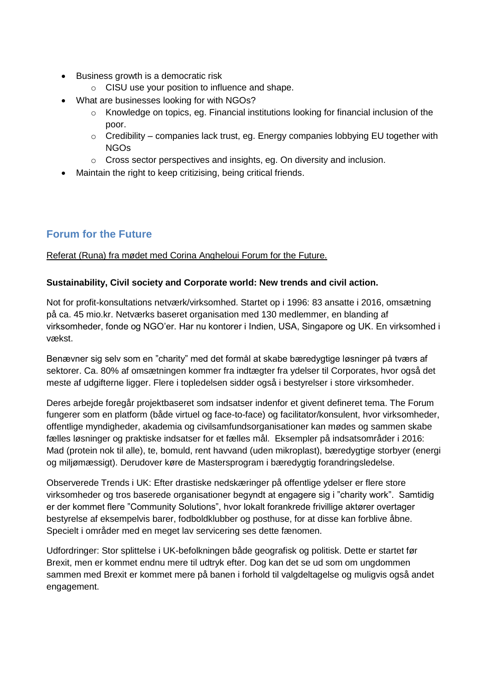- Business growth is a democratic risk
	- o CISU use your position to influence and shape.
- What are businesses looking for with NGOs?
	- o Knowledge on topics, eg. Financial institutions looking for financial inclusion of the poor.
	- $\circ$  Credibility companies lack trust, eg. Energy companies lobbying EU together with NGOs
	- o Cross sector perspectives and insights, eg. On diversity and inclusion.
- Maintain the right to keep critizising, being critical friends.

## **Forum for the Future**

## Referat (Runa) fra mødet med Corina Angheloui Forum for the Future.

## **Sustainability, Civil society and Corporate world: New trends and civil action.**

Not for profit-konsultations netværk/virksomhed. Startet op i 1996: 83 ansatte i 2016, omsætning på ca. 45 mio.kr. Netværks baseret organisation med 130 medlemmer, en blanding af virksomheder, fonde og NGO'er. Har nu kontorer i Indien, USA, Singapore og UK. En virksomhed i vækst.

Benævner sig selv som en "charity" med det formål at skabe bæredygtige løsninger på tværs af sektorer. Ca. 80% af omsætningen kommer fra indtægter fra ydelser til Corporates, hvor også det meste af udgifterne ligger. Flere i topledelsen sidder også i bestyrelser i store virksomheder.

Deres arbejde foregår projektbaseret som indsatser indenfor et givent defineret tema. The Forum fungerer som en platform (både virtuel og face-to-face) og facilitator/konsulent, hvor virksomheder, offentlige myndigheder, akademia og civilsamfundsorganisationer kan mødes og sammen skabe fælles løsninger og praktiske indsatser for et fælles mål. Eksempler på indsatsområder i 2016: Mad (protein nok til alle), te, bomuld, rent havvand (uden mikroplast), bæredygtige storbyer (energi og miljømæssigt). Derudover køre de Mastersprogram i bæredygtig forandringsledelse.

Observerede Trends i UK: Efter drastiske nedskæringer på offentlige ydelser er flere store virksomheder og tros baserede organisationer begyndt at engagere sig i "charity work". Samtidig er der kommet flere "Community Solutions", hvor lokalt forankrede frivillige aktører overtager bestyrelse af eksempelvis barer, fodboldklubber og posthuse, for at disse kan forblive åbne. Specielt i områder med en meget lav servicering ses dette fænomen.

Udfordringer: Stor splittelse i UK-befolkningen både geografisk og politisk. Dette er startet før Brexit, men er kommet endnu mere til udtryk efter. Dog kan det se ud som om ungdommen sammen med Brexit er kommet mere på banen i forhold til valgdeltagelse og muligvis også andet engagement.